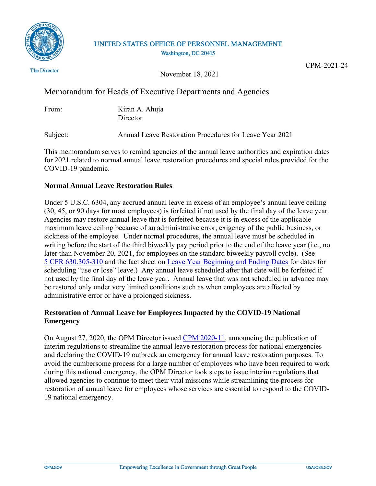

## UNITED STATES OFFICE OF PERSONNEL MANAGEMENT Washington, DC 20415

The Director

November 18, 2021

CPM-2021-24

# Memorandum for Heads of Executive Departments and Agencies

| From: | Kiran A. Ahuja |
|-------|----------------|
|       | Director       |

Subject: Annual Leave Restoration Procedures for Leave Year 2021

This memorandum serves to remind agencies of the annual leave authorities and expiration dates for 2021 related to normal annual leave restoration procedures and special rules provided for the COVID-19 pandemic.

## **Normal Annual Leave Restoration Rules**

Under 5 U.S.C. 6304, any accrued annual leave in excess of an employee's annual leave ceiling (30, 45, or 90 days for most employees) is forfeited if not used by the final day of the leave year. Agencies may restore annual leave that is forfeited because it is in excess of the applicable maximum leave ceiling because of an administrative error, exigency of the public business, or sickness of the employee. Under normal procedures, the annual leave must be scheduled in writing before the start of the third biweekly pay period prior to the end of the leave year (i.e., no later than November 20, 2021, for employees on the standard biweekly payroll cycle). (See [5 CFR 630.305-310](https://www.ecfr.gov/current/title-5/chapter-I/subchapter-B/part-630) and the fact sheet on [Leave Year Beginning and Ending Dates](https://www.opm.gov/policy-data-oversight/pay-leave/leave-administration/fact-sheets/leave-year-beginning-and-ending-dates/) for dates for scheduling "use or lose" leave.) Any annual leave scheduled after that date will be forfeited if not used by the final day of the leave year. Annual leave that was not scheduled in advance may be restored only under very limited conditions such as when employees are affected by administrative error or have a prolonged sickness.

# **Restoration of Annual Leave for Employees Impacted by the COVID-19 National Emergency**

On August 27, 2020, the OPM Director issued [CPM 2020-11,](https://www.chcoc.gov/content/interim-regulations-scheduling-annual-leave-employees-performing-services-determined-be) announcing the publication of interim regulations to streamline the annual leave restoration process for national emergencies and declaring the COVID-19 outbreak an emergency for annual leave restoration purposes. To avoid the cumbersome process for a large number of employees who have been required to work during this national emergency, the OPM Director took steps to issue interim regulations that allowed agencies to continue to meet their vital missions while streamlining the process for restoration of annual leave for employees whose services are essential to respond to the COVID-19 national emergency.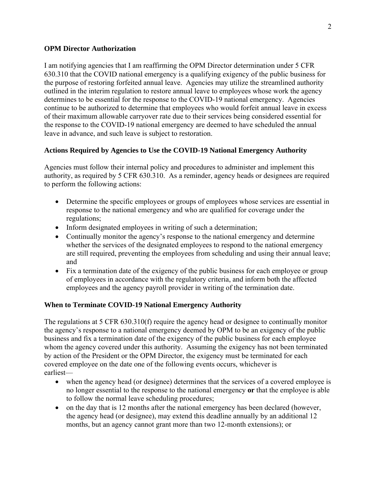#### **OPM Director Authorization**

I am notifying agencies that I am reaffirming the OPM Director determination under 5 CFR 630.310 that the COVID national emergency is a qualifying exigency of the public business for the purpose of restoring forfeited annual leave. Agencies may utilize the streamlined authority outlined in the interim regulation to restore annual leave to employees whose work the agency determines to be essential for the response to the COVID-19 national emergency. Agencies continue to be authorized to determine that employees who would forfeit annual leave in excess of their maximum allowable carryover rate due to their services being considered essential for the response to the COVID-19 national emergency are deemed to have scheduled the annual leave in advance, and such leave is subject to restoration.

### **Actions Required by Agencies to Use the COVID-19 National Emergency Authority**

Agencies must follow their internal policy and procedures to administer and implement this authority, as required by 5 CFR 630.310. As a reminder, agency heads or designees are required to perform the following actions:

- Determine the specific employees or groups of employees whose services are essential in response to the national emergency and who are qualified for coverage under the regulations;
- Inform designated employees in writing of such a determination;
- Continually monitor the agency's response to the national emergency and determine whether the services of the designated employees to respond to the national emergency are still required, preventing the employees from scheduling and using their annual leave; and
- Fix a termination date of the exigency of the public business for each employee or group of employees in accordance with the regulatory criteria, and inform both the affected employees and the agency payroll provider in writing of the termination date.

#### **When to Terminate COVID-19 National Emergency Authority**

The regulations at 5 CFR 630.310(f) require the agency head or designee to continually monitor the agency's response to a national emergency deemed by OPM to be an exigency of the public business and fix a termination date of the exigency of the public business for each employee whom the agency covered under this authority. Assuming the exigency has not been terminated by action of the President or the OPM Director, the exigency must be terminated for each covered employee on the date one of the following events occurs, whichever is earliest—

- when the agency head (or designee) determines that the services of a covered employee is no longer essential to the response to the national emergency **or** that the employee is able to follow the normal leave scheduling procedures;
- on the day that is 12 months after the national emergency has been declared (however, the agency head (or designee), may extend this deadline annually by an additional 12 months, but an agency cannot grant more than two 12-month extensions); or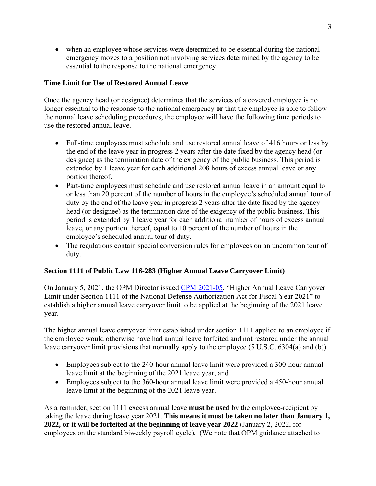• when an employee whose services were determined to be essential during the national emergency moves to a position not involving services determined by the agency to be essential to the response to the national emergency.

## **Time Limit for Use of Restored Annual Leave**

Once the agency head (or designee) determines that the services of a covered employee is no longer essential to the response to the national emergency **or** that the employee is able to follow the normal leave scheduling procedures, the employee will have the following time periods to use the restored annual leave.

- Full-time employees must schedule and use restored annual leave of 416 hours or less by the end of the leave year in progress 2 years after the date fixed by the agency head (or designee) as the termination date of the exigency of the public business. This period is extended by 1 leave year for each additional 208 hours of excess annual leave or any portion thereof.
- Part-time employees must schedule and use restored annual leave in an amount equal to or less than 20 percent of the number of hours in the employee's scheduled annual tour of duty by the end of the leave year in progress 2 years after the date fixed by the agency head (or designee) as the termination date of the exigency of the public business. This period is extended by 1 leave year for each additional number of hours of excess annual leave, or any portion thereof, equal to 10 percent of the number of hours in the employee's scheduled annual tour of duty.
- The regulations contain special conversion rules for employees on an uncommon tour of duty.

#### **Section 1111 of Public Law 116-283 (Higher Annual Leave Carryover Limit)**

On January 5, 2021, the OPM Director issued [CPM 2021-05,](https://www.chcoc.gov/content/higher-annual-leave-carryover-limit-under-section-1111-national-defense-authorization-act) "Higher Annual Leave Carryover Limit under Section 1111 of the National Defense Authorization Act for Fiscal Year 2021" to establish a higher annual leave carryover limit to be applied at the beginning of the 2021 leave year.

The higher annual leave carryover limit established under section 1111 applied to an employee if the employee would otherwise have had annual leave forfeited and not restored under the annual leave carryover limit provisions that normally apply to the employee (5 U.S.C. 6304(a) and (b)).

- Employees subject to the 240-hour annual leave limit were provided a 300-hour annual leave limit at the beginning of the 2021 leave year, and
- Employees subject to the 360-hour annual leave limit were provided a 450-hour annual leave limit at the beginning of the 2021 leave year.

As a reminder, section 1111 excess annual leave **must be used** by the employee-recipient by taking the leave during leave year 2021. **This means it must be taken no later than January 1, 2022, or it will be forfeited at the beginning of leave year 2022** (January 2, 2022, for employees on the standard biweekly payroll cycle). (We note that OPM guidance attached to